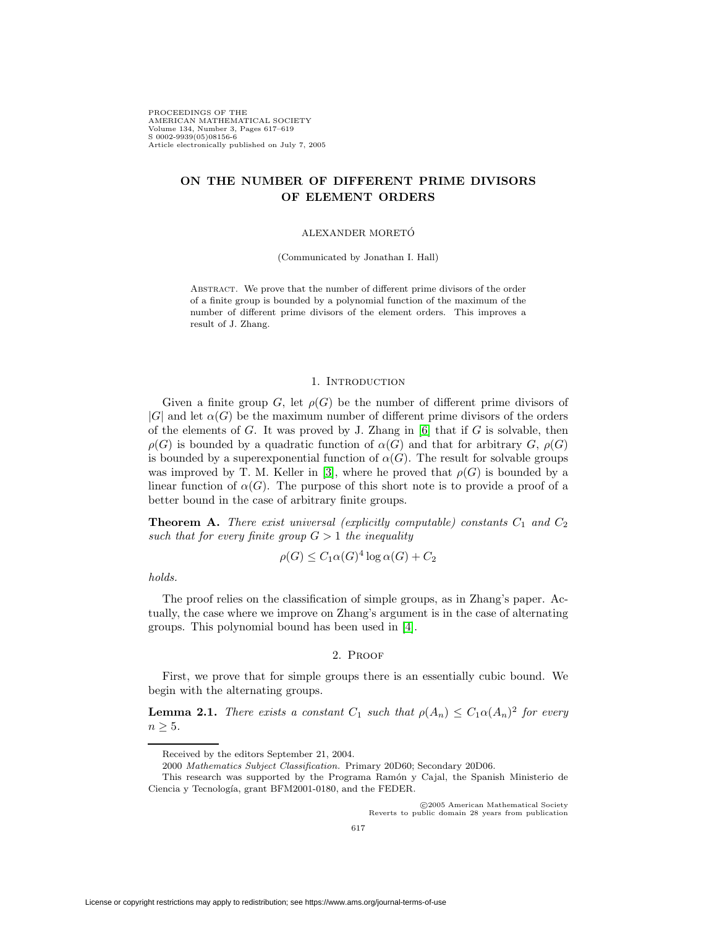PROCEEDINGS OF THE AMERICAN MATHEMATICAL SOCIETY Volume 134, Number 3, Pages 617–619 S 0002-9939(05)08156-6 Article electronically published on July 7, 2005

# **ON THE NUMBER OF DIFFERENT PRIME DIVISORS OF ELEMENT ORDERS**

### ALEXANDER MORETO´

(Communicated by Jonathan I. Hall)

ABSTRACT. We prove that the number of different prime divisors of the order of a finite group is bounded by a polynomial function of the maximum of the number of different prime divisors of the element orders. This improves a result of J. Zhang.

## 1. INTRODUCTION

Given a finite group G, let  $\rho(G)$  be the number of different prime divisors of |G| and let  $\alpha(G)$  be the maximum number of different prime divisors of the orders of the elements of  $G$ . It was proved by J. Zhang in  $[6]$  that if  $G$  is solvable, then  $\rho(G)$  is bounded by a quadratic function of  $\alpha(G)$  and that for arbitrary G,  $\rho(G)$ is bounded by a superexponential function of  $\alpha(G)$ . The result for solvable groups was improved by T. M. Keller in [\[3\]](#page-2-1), where he proved that  $\rho(G)$  is bounded by a linear function of  $\alpha(G)$ . The purpose of this short note is to provide a proof of a better bound in the case of arbitrary finite groups.

**Theorem A.** There exist universal (explicitly computable) constants  $C_1$  and  $C_2$ such that for every finite group  $G > 1$  the inequality

$$
\rho(G) \le C_1 \alpha(G)^4 \log \alpha(G) + C_2
$$

#### holds.

The proof relies on the classification of simple groups, as in Zhang's paper. Actually, the case where we improve on Zhang's argument is in the case of alternating groups. This polynomial bound has been used in [\[4\]](#page-2-2).

# 2. Proof

First, we prove that for simple groups there is an essentially cubic bound. We begin with the alternating groups.

<span id="page-0-0"></span>**Lemma 2.1.** There exists a constant  $C_1$  such that  $\rho(A_n) \leq C_1 \alpha(A_n)^2$  for every  $n \geq 5$ .

c 2005 American Mathematical Society Reverts to public domain 28 years from publication

Received by the editors September 21, 2004.

<sup>2000</sup> Mathematics Subject Classification. Primary 20D60; Secondary 20D06.

This research was supported by the Programa Ramón y Cajal, the Spanish Ministerio de Ciencia y Tecnología, grant BFM2001-0180, and the FEDER.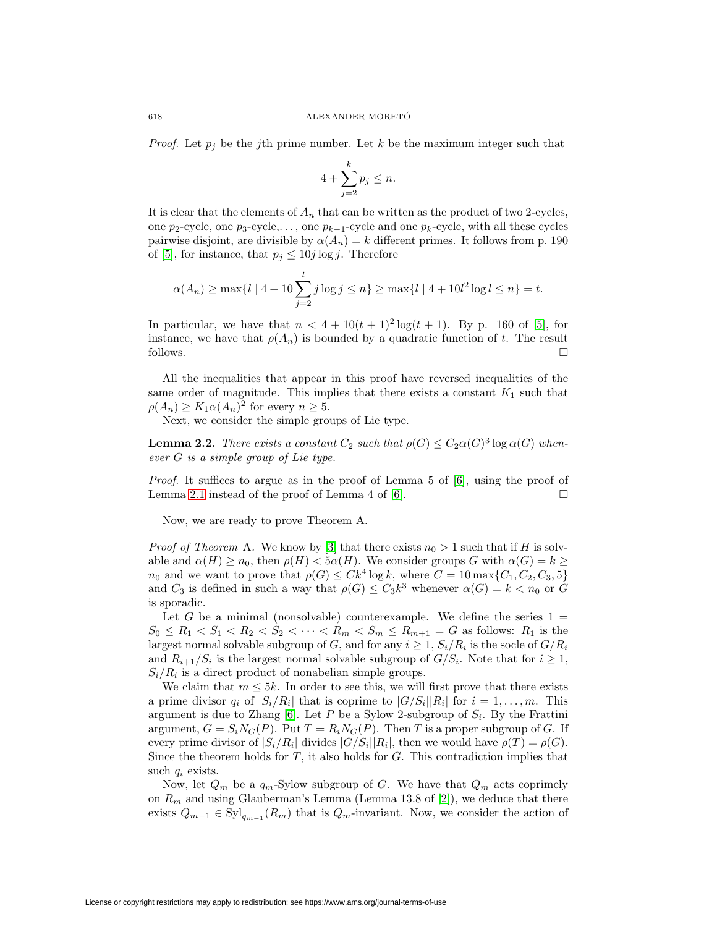*Proof.* Let  $p_i$  be the jth prime number. Let k be the maximum integer such that

$$
4 + \sum_{j=2}^{k} p_j \le n.
$$

It is clear that the elements of  $A_n$  that can be written as the product of two 2-cycles, one  $p_2$ -cycle, one  $p_3$ -cycle,..., one  $p_{k-1}$ -cycle and one  $p_k$ -cycle, with all these cycles pairwise disjoint, are divisible by  $\alpha(A_n) = k$  different primes. It follows from p. 190 of [\[5\]](#page-2-3), for instance, that  $p_j \le 10j \log j$ . Therefore

$$
\alpha(A_n) \ge \max\{l \mid 4 + 10 \sum_{j=2}^{l} j \log j \le n\} \ge \max\{l \mid 4 + 10l^2 \log l \le n\} = t.
$$

In particular, we have that  $n < 4 + 10(t + 1)^2 \log(t + 1)$ . By p. 160 of [\[5\]](#page-2-3), for instance, we have that  $\rho(A_n)$  is bounded by a quadratic function of t. The result follows.  $\Box$ 

All the inequalities that appear in this proof have reversed inequalities of the same order of magnitude. This implies that there exists a constant  $K_1$  such that  $\rho(A_n) \geq K_1 \alpha(A_n)^2$  for every  $n \geq 5$ .

Next, we consider the simple groups of Lie type.

<span id="page-1-0"></span>**Lemma 2.2.** There exists a constant  $C_2$  such that  $\rho(G) \leq C_2 \alpha(G)^3 \log \alpha(G)$  whenever G is a simple group of Lie type.

Proof. It suffices to argue as in the proof of Lemma 5 of [\[6\]](#page-2-0), using the proof of Lemma [2.1](#page-0-0) instead of the proof of Lemma 4 of [\[6\]](#page-2-0).  $\Box$ 

Now, we are ready to prove Theorem A.

*Proof of Theorem A.* We know by [\[3\]](#page-2-1) that there exists  $n_0 > 1$  such that if H is solvable and  $\alpha(H) \geq n_0$ , then  $\rho(H) < 5\alpha(H)$ . We consider groups G with  $\alpha(G) = k \geq$  $n_0$  and we want to prove that  $\rho(G) \leq Ck^4 \log k$ , where  $C = 10 \max\{C_1, C_2, C_3, 5\}$ and  $C_3$  is defined in such a way that  $\rho(G) \leq C_3 k^3$  whenever  $\alpha(G) = k \lt n_0$  or G is sporadic.

Let G be a minimal (nonsolvable) counterexample. We define the series  $1 =$  $S_0 \le R_1 < S_1 < R_2 < S_2 < \cdots < R_m < S_m \le R_{m+1} = G$  as follows:  $R_1$  is the largest normal solvable subgroup of G, and for any  $i \geq 1$ ,  $S_i/R_i$  is the socle of  $G/R_i$ and  $R_{i+1}/S_i$  is the largest normal solvable subgroup of  $G/S_i$ . Note that for  $i \geq 1$ ,  $S_i/R_i$  is a direct product of nonabelian simple groups.

We claim that  $m \leq 5k$ . In order to see this, we will first prove that there exists a prime divisor  $q_i$  of  $|S_i/R_i|$  that is coprime to  $|G/S_i||R_i|$  for  $i = 1, \ldots, m$ . This argument is due to Zhang [\[6\]](#page-2-0). Let P be a Sylow 2-subgroup of  $S_i$ . By the Frattini argument,  $G = S_i N_G(P)$ . Put  $T = R_i N_G(P)$ . Then T is a proper subgroup of G. If every prime divisor of  $|S_i/R_i|$  divides  $|G/S_i||R_i|$ , then we would have  $\rho(T) = \rho(G)$ . Since the theorem holds for  $T$ , it also holds for  $G$ . This contradiction implies that such  $q_i$  exists.

Now, let  $Q_m$  be a  $q_m$ -Sylow subgroup of G. We have that  $Q_m$  acts coprimely on  $R_m$  and using Glauberman's Lemma (Lemma 13.8 of [\[2\]](#page-2-4)), we deduce that there exists  $Q_{m-1} \in Syl_{q_{m-1}}(R_m)$  that is  $Q_m$ -invariant. Now, we consider the action of